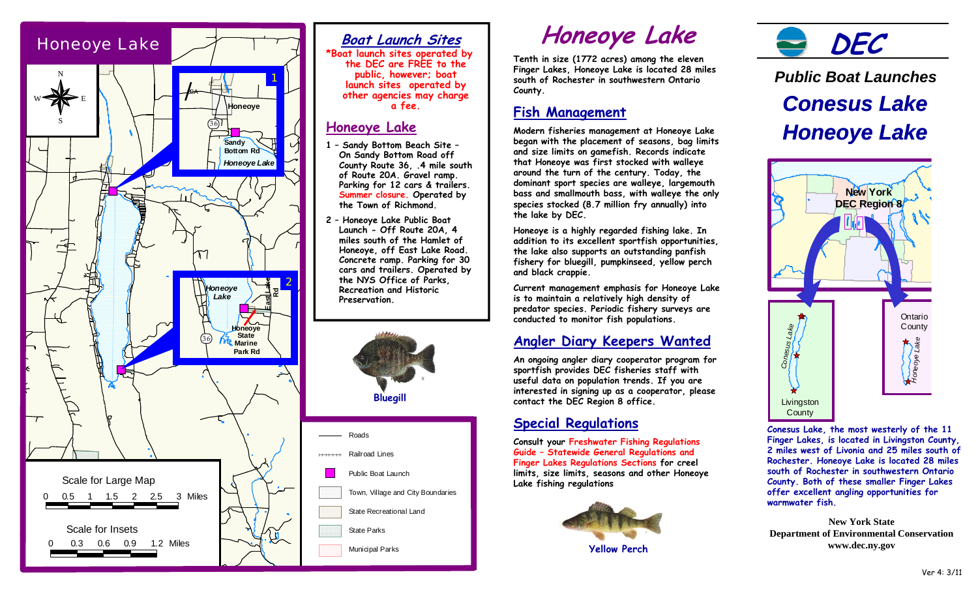

## **Boat Launch Sites**

\*Boat launch sites operated by the DEC are FREE to the public, however; boat launch sites operated by other agencies may charge a fee.

### **Honeove Lake**

- 1 Sandy Bottom Beach Site -On Sandy Bottom Road off County Route 36. 4 mile south of Route 20A. Gravel ramp. Parking for 12 cars & trailers. Summer closure. Operated by the Town of Richmond.
- 2 Honeoye Lake Public Boat Launch - Off Route 20A, 4 miles south of the Hamlet of Honeove, off East Lake Road. Concrete ramp. Parking for 30 cars and trailers. Operated by the NYS Office of Parks. **Recreation and Historic** Preservation.



# **Honeoye Lake**

Tenth in size (1772 acres) among the eleven Finger Lakes, Honeoye Lake is located 28 miles south of Rochester in southwestern Ontario County.

## **Fish Management**

Modern fisheries management at Honeoye Lake began with the placement of seasons, bag limits and size limits on gamefish. Records indicate that Honeoye was first stocked with walleye around the turn of the century. Today, the dominant sport species are walleye, largemouth bass and smallmouth bass, with walleye the only species stocked (8.7 million fry annually) into the lake by DEC.

Honeoye is a highly regarded fishing lake. In addition to its excellent sportfish opportunities. the lake also supports an outstanding panfish fishery for bluegill, pumpkinseed, yellow perch and black crappie.

Current management emphasis for Honeoye Lake is to maintain a relatively high density of predator species. Periodic fishery surveys are conducted to monitor fish populations.

## Angler Diary Keepers Wanted

An ongoing angler diary cooperator program for sportfish provides DEC fisheries staff with useful data on population trends. If you are interested in signing up as a cooperator, please contact the DEC Region 8 office.

## **Special Regulations**

**Consult your Freshwater Fishing Regulations** Guide - Statewide General Regulations and Finger Lakes Regulations Sections for creel limits, size limits, seasons and other Honeoye Lake fishing regulations



**Yellow Perch** 



# **Public Boat Launches Conesus Lake Honeoye Lake**



Conesus Lake, the most westerly of the 11 Finger Lakes, is located in Livingston County, 2 miles west of Livonia and 25 miles south of Rochester, Honeove Lake is located 28 miles south of Rochester in southwestern Ontario County. Both of these smaller Finger Lakes offer excellent angling opportunities for warmwater fish

**New York State Department of Environmental Conservation** www.dec.ny.gov